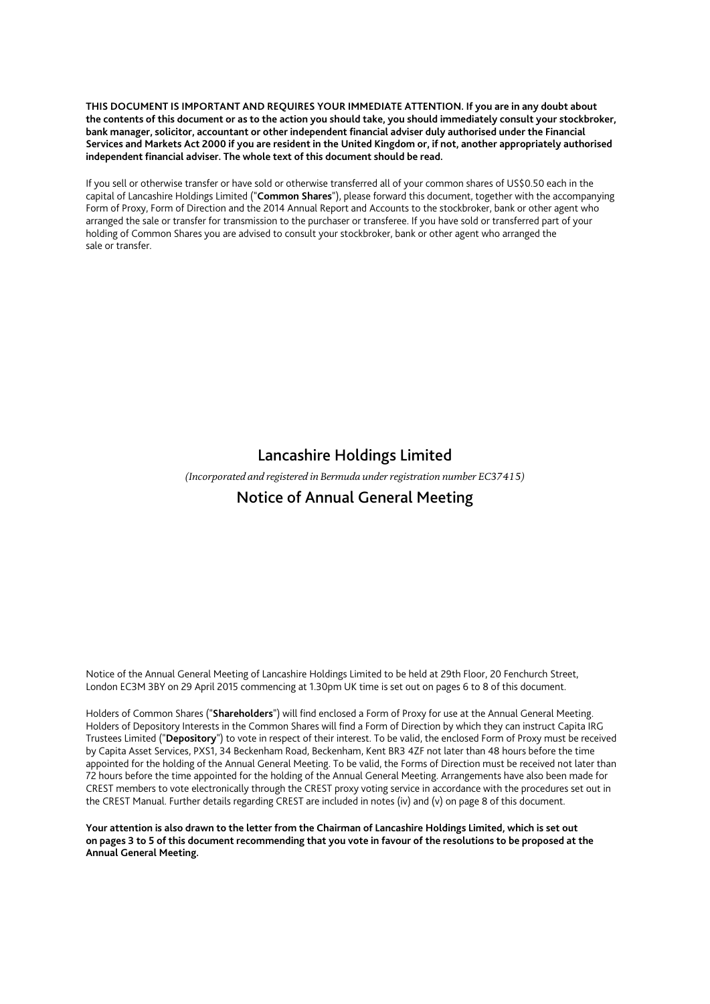**THIS DOCUMENT IS IMPORTANT AND REQUIRES YOUR IMMEDIATE ATTENTION. If you are in any doubt about the contents of this document or as to the action you should take, you should immediately consult your stockbroker, bank manager, solicitor, accountant or other independent financial adviser duly authorised under the Financial Services and Markets Act 2000 if you are resident in the United Kingdom or, if not, another appropriately authorised independent financial adviser. The whole text of this document should be read.** 

If you sell or otherwise transfer or have sold or otherwise transferred all of your common shares of US\$0.50 each in the capital of Lancashire Holdings Limited ("**Common Shares**"), please forward this document, together with the accompanying Form of Proxy, Form of Direction and the 2014 Annual Report and Accounts to the stockbroker, bank or other agent who arranged the sale or transfer for transmission to the purchaser or transferee. If you have sold or transferred part of your holding of Common Shares you are advised to consult your stockbroker, bank or other agent who arranged the sale or transfer.

# Lancashire Holdings Limited

*(Incorporated and registered in Bermuda under registration number EC37415)* 

# Notice of Annual General Meeting

Notice of the Annual General Meeting of Lancashire Holdings Limited to be held at 29th Floor, 20 Fenchurch Street, London EC3M 3BY on 29 April 2015 commencing at 1.30pm UK time is set out on pages 6 to 8 of this document.

Holders of Common Shares ("**Shareholders**") will find enclosed a Form of Proxy for use at the Annual General Meeting. Holders of Depository Interests in the Common Shares will find a Form of Direction by which they can instruct Capita IRG Trustees Limited ("**Depository**") to vote in respect of their interest. To be valid, the enclosed Form of Proxy must be received by Capita Asset Services, PXS1, 34 Beckenham Road, Beckenham, Kent BR3 4ZF not later than 48 hours before the time appointed for the holding of the Annual General Meeting. To be valid, the Forms of Direction must be received not later than 72 hours before the time appointed for the holding of the Annual General Meeting. Arrangements have also been made for CREST members to vote electronically through the CREST proxy voting service in accordance with the procedures set out in the CREST Manual. Further details regarding CREST are included in notes (iv) and (v) on page 8 of this document.

**Your attention is also drawn to the letter from the Chairman of Lancashire Holdings Limited, which is set out on pages 3 to 5 of this document recommending that you vote in favour of the resolutions to be proposed at the Annual General Meeting.**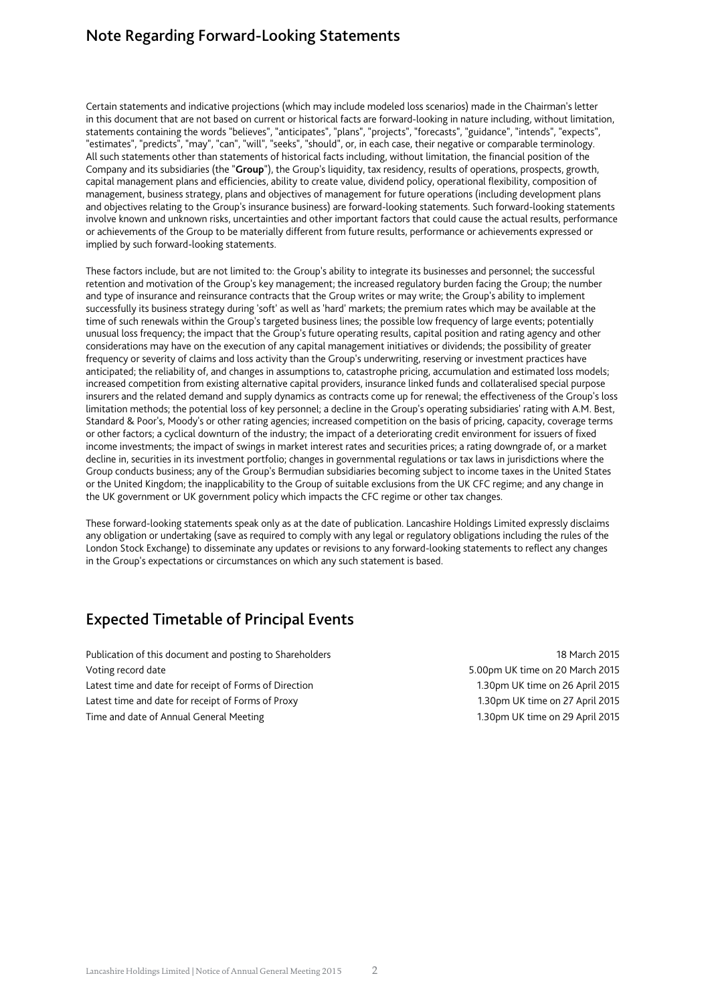# Note Regarding Forward-Looking Statements

Certain statements and indicative projections (which may include modeled loss scenarios) made in the Chairman's letter in this document that are not based on current or historical facts are forward-looking in nature including, without limitation, statements containing the words "believes", "anticipates", "plans", "projects", "forecasts", "guidance", "intends", "expects", "estimates", "predicts", "may", "can", "will", "seeks", "should", or, in each case, their negative or comparable terminology. All such statements other than statements of historical facts including, without limitation, the financial position of the Company and its subsidiaries (the "**Group**"), the Group's liquidity, tax residency, results of operations, prospects, growth, capital management plans and efficiencies, ability to create value, dividend policy, operational flexibility, composition of management, business strategy, plans and objectives of management for future operations (including development plans and objectives relating to the Group's insurance business) are forward-looking statements. Such forward-looking statements involve known and unknown risks, uncertainties and other important factors that could cause the actual results, performance or achievements of the Group to be materially different from future results, performance or achievements expressed or implied by such forward-looking statements.

These factors include, but are not limited to: the Group's ability to integrate its businesses and personnel; the successful retention and motivation of the Group's key management; the increased regulatory burden facing the Group; the number and type of insurance and reinsurance contracts that the Group writes or may write; the Group's ability to implement successfully its business strategy during 'soft' as well as 'hard' markets; the premium rates which may be available at the time of such renewals within the Group's targeted business lines; the possible low frequency of large events; potentially unusual loss frequency; the impact that the Group's future operating results, capital position and rating agency and other considerations may have on the execution of any capital management initiatives or dividends; the possibility of greater frequency or severity of claims and loss activity than the Group's underwriting, reserving or investment practices have anticipated; the reliability of, and changes in assumptions to, catastrophe pricing, accumulation and estimated loss models; increased competition from existing alternative capital providers, insurance linked funds and collateralised special purpose insurers and the related demand and supply dynamics as contracts come up for renewal; the effectiveness of the Group's loss limitation methods; the potential loss of key personnel; a decline in the Group's operating subsidiaries' rating with A.M. Best, Standard & Poor's, Moody's or other rating agencies; increased competition on the basis of pricing, capacity, coverage terms or other factors; a cyclical downturn of the industry; the impact of a deteriorating credit environment for issuers of fixed income investments; the impact of swings in market interest rates and securities prices; a rating downgrade of, or a market decline in, securities in its investment portfolio; changes in governmental regulations or tax laws in jurisdictions where the Group conducts business; any of the Group's Bermudian subsidiaries becoming subject to income taxes in the United States or the United Kingdom; the inapplicability to the Group of suitable exclusions from the UK CFC regime; and any change in the UK government or UK government policy which impacts the CFC regime or other tax changes.

These forward-looking statements speak only as at the date of publication. Lancashire Holdings Limited expressly disclaims any obligation or undertaking (save as required to comply with any legal or regulatory obligations including the rules of the London Stock Exchange) to disseminate any updates or revisions to any forward-looking statements to reflect any changes in the Group's expectations or circumstances on which any such statement is based.

# Expected Timetable of Principal Events

Publication of this document and posting to Shareholders 18 March 2015 Voting record date 5.00pm UK time on 20 March 2015 Latest time and date for receipt of Forms of Direction 1.30pm UK time on 26 April 2015 Latest time and date for receipt of Forms of Proxy 1.30pm UK time on 27 April 2015 Time and date of Annual General Meeting 1.30pm UK time on 29 April 2015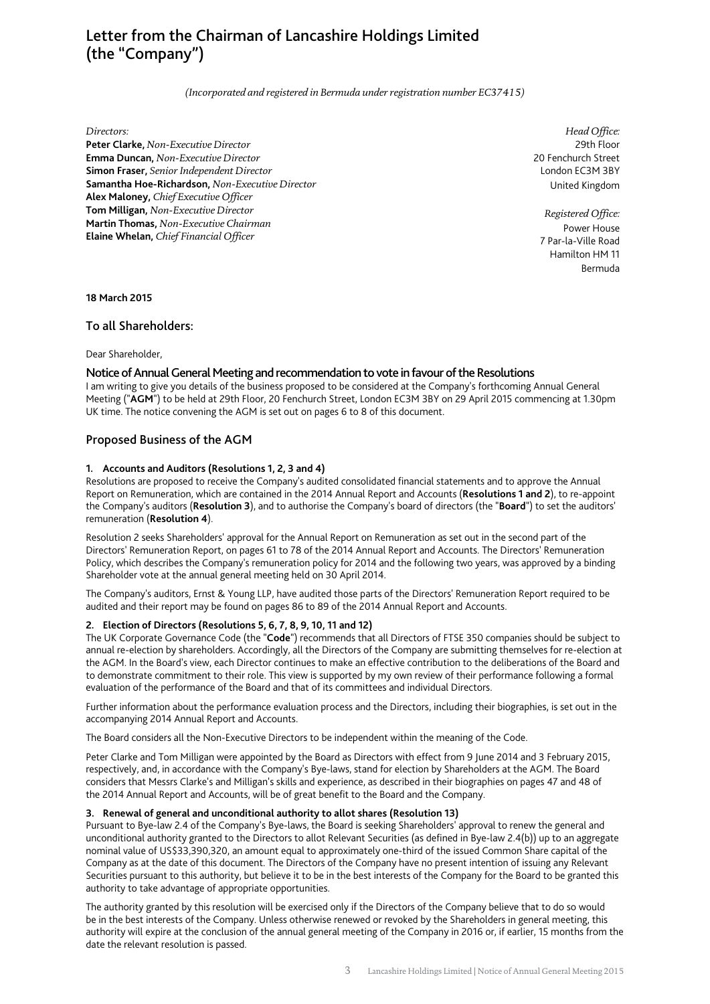# Letter from the Chairman of Lancashire Holdings Limited (the "Company")

*(Incorporated and registered in Bermuda under registration number EC37415)* 

#### *Directors:*

**Peter Clarke,** *Non-Executive Director*  **Emma Duncan,** *Non-Executive Director*  **Simon Fraser,** *Senior Independent Director*  **Samantha Hoe-Richardson,** *Non-Executive Director*  **Alex Maloney,** *Chief Executive Officer*  **Tom Milligan,** *Non-Executive Director*  **Martin Thomas,** *Non-Executive Chairman*  **Elaine Whelan,** *Chief Financial Officer* 

*Head Office:* 29th Floor 20 Fenchurch Street London EC3M 3BY United Kingdom

*Registered Office:* Power House 7 Par-la-Ville Road Hamilton HM 11 Bermuda

**18 March 2015** 

## To all Shareholders:

Dear Shareholder,

## Notice of Annual General Meeting and recommendation to vote in favour of the Resolutions

I am writing to give you details of the business proposed to be considered at the Company's forthcoming Annual General Meeting ("**AGM**") to be held at 29th Floor, 20 Fenchurch Street, London EC3M 3BY on 29 April 2015 commencing at 1.30pm UK time. The notice convening the AGM is set out on pages 6 to 8 of this document.

## Proposed Business of the AGM

## **1. Accounts and Auditors (Resolutions 1, 2, 3 and 4)**

Resolutions are proposed to receive the Company's audited consolidated financial statements and to approve the Annual Report on Remuneration, which are contained in the 2014 Annual Report and Accounts (**Resolutions 1 and 2**), to re-appoint the Company's auditors (**Resolution 3**), and to authorise the Company's board of directors (the "**Board**") to set the auditors' remuneration (**Resolution 4**).

Resolution 2 seeks Shareholders' approval for the Annual Report on Remuneration as set out in the second part of the Directors' Remuneration Report, on pages 61 to 78 of the 2014 Annual Report and Accounts. The Directors' Remuneration Policy, which describes the Company's remuneration policy for 2014 and the following two years, was approved by a binding Shareholder vote at the annual general meeting held on 30 April 2014.

The Company's auditors, Ernst & Young LLP, have audited those parts of the Directors' Remuneration Report required to be audited and their report may be found on pages 86 to 89 of the 2014 Annual Report and Accounts.

## **2. Election of Directors (Resolutions 5, 6, 7, 8, 9, 10, 11 and 12)**

The UK Corporate Governance Code (the "**Code**") recommends that all Directors of FTSE 350 companies should be subject to annual re-election by shareholders. Accordingly, all the Directors of the Company are submitting themselves for re-election at the AGM. In the Board's view, each Director continues to make an effective contribution to the deliberations of the Board and to demonstrate commitment to their role. This view is supported by my own review of their performance following a formal evaluation of the performance of the Board and that of its committees and individual Directors.

Further information about the performance evaluation process and the Directors, including their biographies, is set out in the accompanying 2014 Annual Report and Accounts.

The Board considers all the Non-Executive Directors to be independent within the meaning of the Code.

Peter Clarke and Tom Milligan were appointed by the Board as Directors with effect from 9 June 2014 and 3 February 2015, respectively, and, in accordance with the Company's Bye-laws, stand for election by Shareholders at the AGM. The Board considers that Messrs Clarke's and Milligan's skills and experience, as described in their biographies on pages 47 and 48 of the 2014 Annual Report and Accounts, will be of great benefit to the Board and the Company.

## **3. Renewal of general and unconditional authority to allot shares (Resolution 13)**

Pursuant to Bye-law 2.4 of the Company's Bye-laws, the Board is seeking Shareholders' approval to renew the general and unconditional authority granted to the Directors to allot Relevant Securities (as defined in Bye-law 2.4(b)) up to an aggregate nominal value of US\$33,390,320, an amount equal to approximately one-third of the issued Common Share capital of the Company as at the date of this document. The Directors of the Company have no present intention of issuing any Relevant Securities pursuant to this authority, but believe it to be in the best interests of the Company for the Board to be granted this authority to take advantage of appropriate opportunities.

The authority granted by this resolution will be exercised only if the Directors of the Company believe that to do so would be in the best interests of the Company. Unless otherwise renewed or revoked by the Shareholders in general meeting, this authority will expire at the conclusion of the annual general meeting of the Company in 2016 or, if earlier, 15 months from the date the relevant resolution is passed.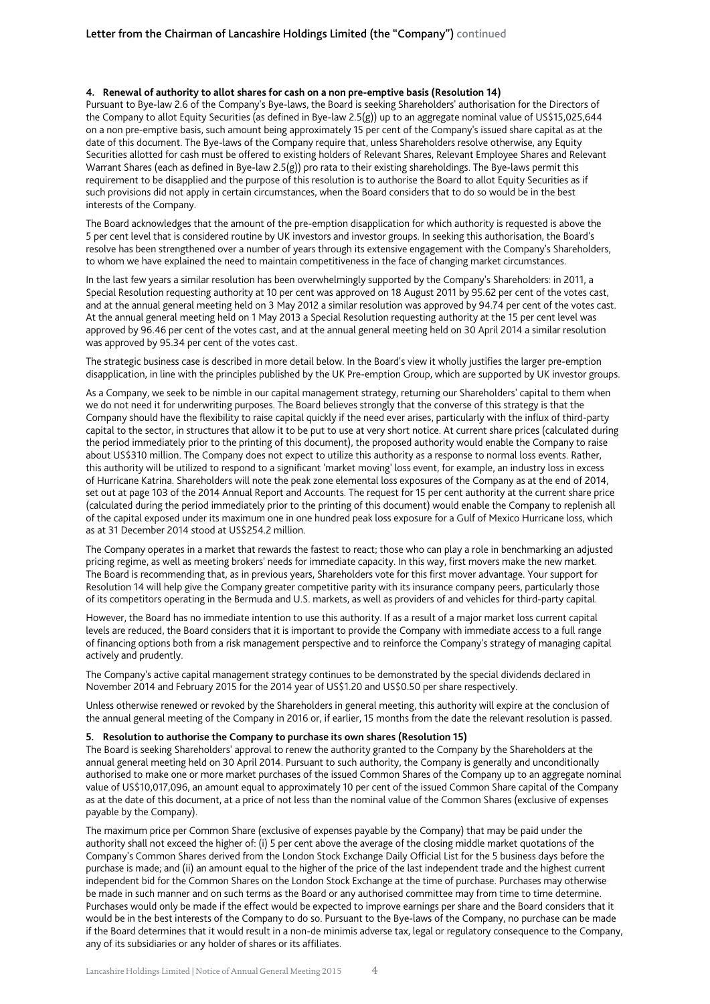### **4. Renewal of authority to allot shares for cash on a non pre-emptive basis (Resolution 14)**

Pursuant to Bye-law 2.6 of the Company's Bye-laws, the Board is seeking Shareholders' authorisation for the Directors of the Company to allot Equity Securities (as defined in Bye-law 2.5(g)) up to an aggregate nominal value of US\$15,025,644 on a non pre-emptive basis, such amount being approximately 15 per cent of the Company's issued share capital as at the date of this document. The Bye-laws of the Company require that, unless Shareholders resolve otherwise, any Equity Securities allotted for cash must be offered to existing holders of Relevant Shares, Relevant Employee Shares and Relevant Warrant Shares (each as defined in Bye-law 2.5(g)) pro rata to their existing shareholdings. The Bye-laws permit this requirement to be disapplied and the purpose of this resolution is to authorise the Board to allot Equity Securities as if such provisions did not apply in certain circumstances, when the Board considers that to do so would be in the best interests of the Company.

The Board acknowledges that the amount of the pre-emption disapplication for which authority is requested is above the 5 per cent level that is considered routine by UK investors and investor groups. In seeking this authorisation, the Board's resolve has been strengthened over a number of years through its extensive engagement with the Company's Shareholders, to whom we have explained the need to maintain competitiveness in the face of changing market circumstances.

In the last few years a similar resolution has been overwhelmingly supported by the Company's Shareholders: in 2011, a Special Resolution requesting authority at 10 per cent was approved on 18 August 2011 by 95.62 per cent of the votes cast, and at the annual general meeting held on 3 May 2012 a similar resolution was approved by 94.74 per cent of the votes cast. At the annual general meeting held on 1 May 2013 a Special Resolution requesting authority at the 15 per cent level was approved by 96.46 per cent of the votes cast, and at the annual general meeting held on 30 April 2014 a similar resolution was approved by 95.34 per cent of the votes cast.

The strategic business case is described in more detail below. In the Board's view it wholly justifies the larger pre-emption disapplication, in line with the principles published by the UK Pre-emption Group, which are supported by UK investor groups.

As a Company, we seek to be nimble in our capital management strategy, returning our Shareholders' capital to them when we do not need it for underwriting purposes. The Board believes strongly that the converse of this strategy is that the Company should have the flexibility to raise capital quickly if the need ever arises, particularly with the influx of third-party capital to the sector, in structures that allow it to be put to use at very short notice. At current share prices (calculated during the period immediately prior to the printing of this document), the proposed authority would enable the Company to raise about US\$310 million. The Company does not expect to utilize this authority as a response to normal loss events. Rather, this authority will be utilized to respond to a significant 'market moving' loss event, for example, an industry loss in excess of Hurricane Katrina. Shareholders will note the peak zone elemental loss exposures of the Company as at the end of 2014, set out at page 103 of the 2014 Annual Report and Accounts. The request for 15 per cent authority at the current share price (calculated during the period immediately prior to the printing of this document) would enable the Company to replenish all of the capital exposed under its maximum one in one hundred peak loss exposure for a Gulf of Mexico Hurricane loss, which as at 31 December 2014 stood at US\$254.2 million.

The Company operates in a market that rewards the fastest to react; those who can play a role in benchmarking an adjusted pricing regime, as well as meeting brokers' needs for immediate capacity. In this way, first movers make the new market. The Board is recommending that, as in previous years, Shareholders vote for this first mover advantage. Your support for Resolution 14 will help give the Company greater competitive parity with its insurance company peers, particularly those of its competitors operating in the Bermuda and U.S. markets, as well as providers of and vehicles for third-party capital.

However, the Board has no immediate intention to use this authority. If as a result of a major market loss current capital levels are reduced, the Board considers that it is important to provide the Company with immediate access to a full range of financing options both from a risk management perspective and to reinforce the Company's strategy of managing capital actively and prudently.

The Company's active capital management strategy continues to be demonstrated by the special dividends declared in November 2014 and February 2015 for the 2014 year of US\$1.20 and US\$0.50 per share respectively.

Unless otherwise renewed or revoked by the Shareholders in general meeting, this authority will expire at the conclusion of the annual general meeting of the Company in 2016 or, if earlier, 15 months from the date the relevant resolution is passed.

#### **5. Resolution to authorise the Company to purchase its own shares (Resolution 15)**

The Board is seeking Shareholders' approval to renew the authority granted to the Company by the Shareholders at the annual general meeting held on 30 April 2014. Pursuant to such authority, the Company is generally and unconditionally authorised to make one or more market purchases of the issued Common Shares of the Company up to an aggregate nominal value of US\$10,017,096, an amount equal to approximately 10 per cent of the issued Common Share capital of the Company as at the date of this document, at a price of not less than the nominal value of the Common Shares (exclusive of expenses payable by the Company).

The maximum price per Common Share (exclusive of expenses payable by the Company) that may be paid under the authority shall not exceed the higher of: (i) 5 per cent above the average of the closing middle market quotations of the Company's Common Shares derived from the London Stock Exchange Daily Official List for the 5 business days before the purchase is made; and (ii) an amount equal to the higher of the price of the last independent trade and the highest current independent bid for the Common Shares on the London Stock Exchange at the time of purchase. Purchases may otherwise be made in such manner and on such terms as the Board or any authorised committee may from time to time determine. Purchases would only be made if the effect would be expected to improve earnings per share and the Board considers that it would be in the best interests of the Company to do so. Pursuant to the Bye-laws of the Company, no purchase can be made if the Board determines that it would result in a non-de minimis adverse tax, legal or regulatory consequence to the Company, any of its subsidiaries or any holder of shares or its affiliates.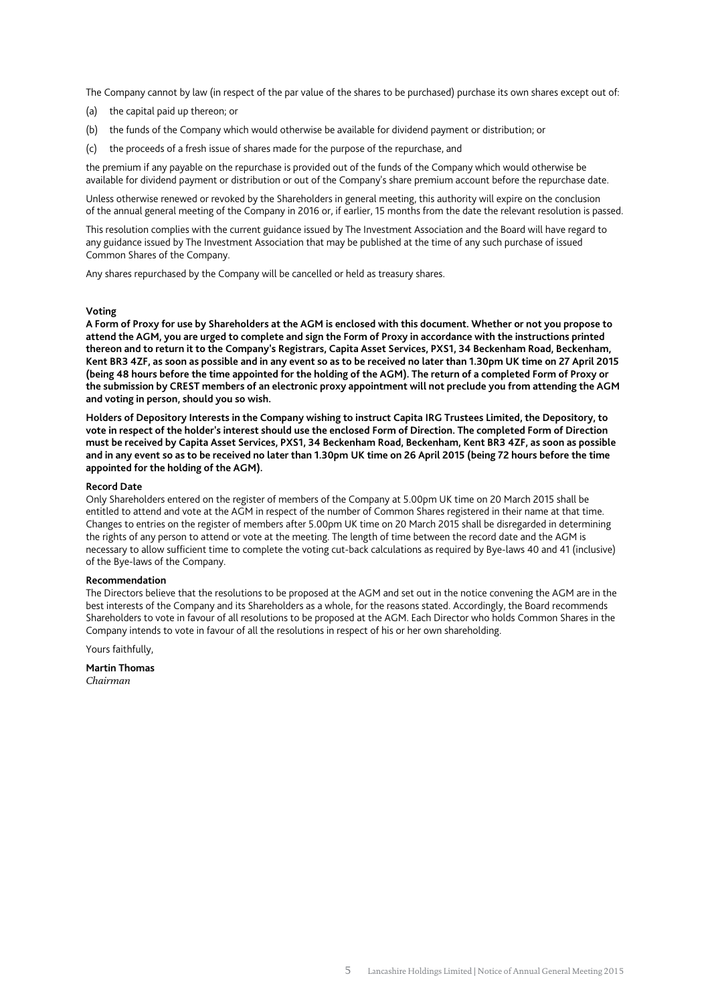The Company cannot by law (in respect of the par value of the shares to be purchased) purchase its own shares except out of:

- (a) the capital paid up thereon; or
- (b) the funds of the Company which would otherwise be available for dividend payment or distribution; or
- (c) the proceeds of a fresh issue of shares made for the purpose of the repurchase, and

the premium if any payable on the repurchase is provided out of the funds of the Company which would otherwise be available for dividend payment or distribution or out of the Company's share premium account before the repurchase date.

Unless otherwise renewed or revoked by the Shareholders in general meeting, this authority will expire on the conclusion of the annual general meeting of the Company in 2016 or, if earlier, 15 months from the date the relevant resolution is passed.

This resolution complies with the current guidance issued by The Investment Association and the Board will have regard to any guidance issued by The Investment Association that may be published at the time of any such purchase of issued Common Shares of the Company.

Any shares repurchased by the Company will be cancelled or held as treasury shares.

#### **Voting**

**A Form of Proxy for use by Shareholders at the AGM is enclosed with this document. Whether or not you propose to attend the AGM, you are urged to complete and sign the Form of Proxy in accordance with the instructions printed thereon and to return it to the Company's Registrars, Capita Asset Services, PXS1, 34 Beckenham Road, Beckenham, Kent BR3 4ZF, as soon as possible and in any event so as to be received no later than 1.30pm UK time on 27 April 2015 (being 48 hours before the time appointed for the holding of the AGM). The return of a completed Form of Proxy or the submission by CREST members of an electronic proxy appointment will not preclude you from attending the AGM and voting in person, should you so wish.** 

**Holders of Depository Interests in the Company wishing to instruct Capita IRG Trustees Limited, the Depository, to vote in respect of the holder's interest should use the enclosed Form of Direction. The completed Form of Direction must be received by Capita Asset Services, PXS1, 34 Beckenham Road, Beckenham, Kent BR3 4ZF, as soon as possible and in any event so as to be received no later than 1.30pm UK time on 26 April 2015 (being 72 hours before the time appointed for the holding of the AGM).** 

#### **Record Date**

Only Shareholders entered on the register of members of the Company at 5.00pm UK time on 20 March 2015 shall be entitled to attend and vote at the AGM in respect of the number of Common Shares registered in their name at that time. Changes to entries on the register of members after 5.00pm UK time on 20 March 2015 shall be disregarded in determining the rights of any person to attend or vote at the meeting. The length of time between the record date and the AGM is necessary to allow sufficient time to complete the voting cut-back calculations as required by Bye-laws 40 and 41 (inclusive) of the Bye-laws of the Company.

#### **Recommendation**

The Directors believe that the resolutions to be proposed at the AGM and set out in the notice convening the AGM are in the best interests of the Company and its Shareholders as a whole, for the reasons stated. Accordingly, the Board recommends Shareholders to vote in favour of all resolutions to be proposed at the AGM. Each Director who holds Common Shares in the Company intends to vote in favour of all the resolutions in respect of his or her own shareholding.

Yours faithfully,

**Martin Thomas**  *Chairman*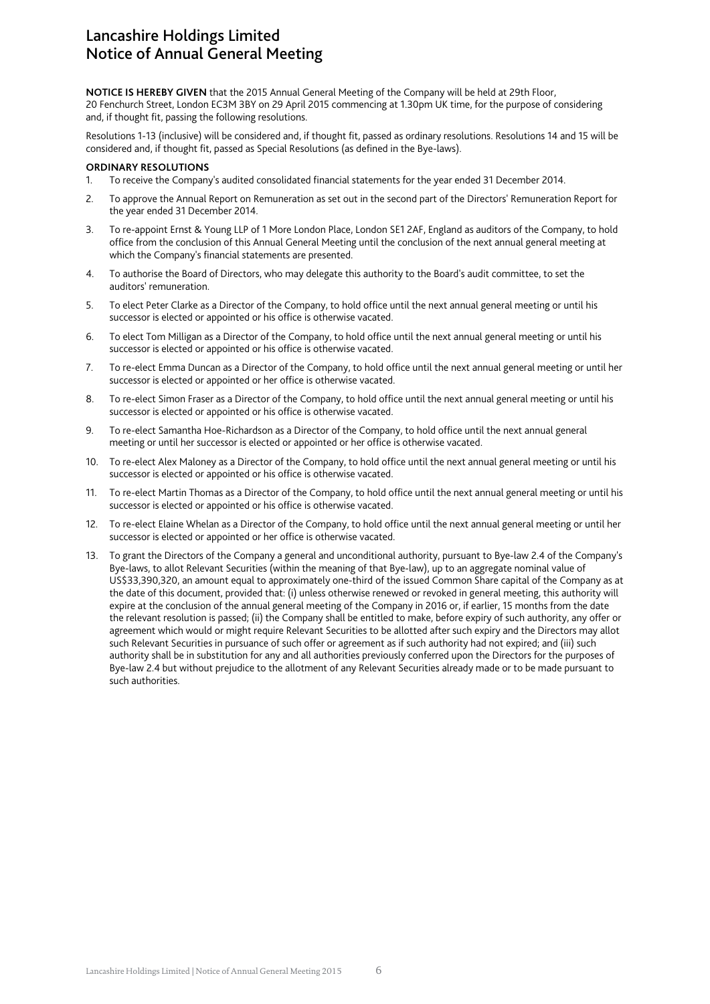# Lancashire Holdings Limited Notice of Annual General Meeting

**NOTICE IS HEREBY GIVEN** that the 2015 Annual General Meeting of the Company will be held at 29th Floor, 20 Fenchurch Street, London EC3M 3BY on 29 April 2015 commencing at 1.30pm UK time, for the purpose of considering and, if thought fit, passing the following resolutions.

Resolutions 1-13 (inclusive) will be considered and, if thought fit, passed as ordinary resolutions. Resolutions 14 and 15 will be considered and, if thought fit, passed as Special Resolutions (as defined in the Bye-laws).

## **ORDINARY RESOLUTIONS**

- 1. To receive the Company's audited consolidated financial statements for the year ended 31 December 2014.
- 2. To approve the Annual Report on Remuneration as set out in the second part of the Directors' Remuneration Report for the year ended 31 December 2014.
- 3. To re-appoint Ernst & Young LLP of 1 More London Place, London SE1 2AF, England as auditors of the Company, to hold office from the conclusion of this Annual General Meeting until the conclusion of the next annual general meeting at which the Company's financial statements are presented.
- 4. To authorise the Board of Directors, who may delegate this authority to the Board's audit committee, to set the auditors' remuneration.
- 5. To elect Peter Clarke as a Director of the Company, to hold office until the next annual general meeting or until his successor is elected or appointed or his office is otherwise vacated.
- 6. To elect Tom Milligan as a Director of the Company, to hold office until the next annual general meeting or until his successor is elected or appointed or his office is otherwise vacated.
- 7. To re-elect Emma Duncan as a Director of the Company, to hold office until the next annual general meeting or until her successor is elected or appointed or her office is otherwise vacated.
- 8. To re-elect Simon Fraser as a Director of the Company, to hold office until the next annual general meeting or until his successor is elected or appointed or his office is otherwise vacated.
- 9. To re-elect Samantha Hoe-Richardson as a Director of the Company, to hold office until the next annual general meeting or until her successor is elected or appointed or her office is otherwise vacated.
- 10. To re-elect Alex Maloney as a Director of the Company, to hold office until the next annual general meeting or until his successor is elected or appointed or his office is otherwise vacated.
- 11. To re-elect Martin Thomas as a Director of the Company, to hold office until the next annual general meeting or until his successor is elected or appointed or his office is otherwise vacated.
- 12. To re-elect Elaine Whelan as a Director of the Company, to hold office until the next annual general meeting or until her successor is elected or appointed or her office is otherwise vacated.
- 13. To grant the Directors of the Company a general and unconditional authority, pursuant to Bye-law 2.4 of the Company's Bye-laws, to allot Relevant Securities (within the meaning of that Bye-law), up to an aggregate nominal value of US\$33,390,320, an amount equal to approximately one-third of the issued Common Share capital of the Company as at the date of this document, provided that: (i) unless otherwise renewed or revoked in general meeting, this authority will expire at the conclusion of the annual general meeting of the Company in 2016 or, if earlier, 15 months from the date the relevant resolution is passed; (ii) the Company shall be entitled to make, before expiry of such authority, any offer or agreement which would or might require Relevant Securities to be allotted after such expiry and the Directors may allot such Relevant Securities in pursuance of such offer or agreement as if such authority had not expired; and (iii) such authority shall be in substitution for any and all authorities previously conferred upon the Directors for the purposes of Bye-law 2.4 but without prejudice to the allotment of any Relevant Securities already made or to be made pursuant to such authorities.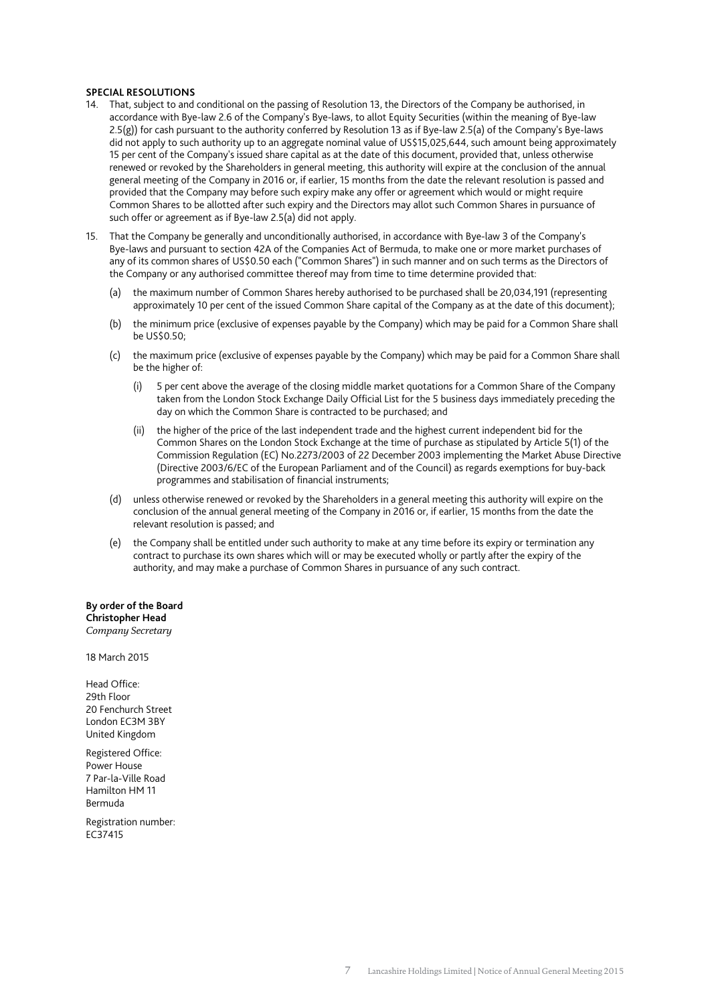#### **SPECIAL RESOLUTIONS**

- 14. That, subject to and conditional on the passing of Resolution 13, the Directors of the Company be authorised, in accordance with Bye-law 2.6 of the Company's Bye-laws, to allot Equity Securities (within the meaning of Bye-law 2.5(g)) for cash pursuant to the authority conferred by Resolution 13 as if Bye-law 2.5(a) of the Company's Bye-laws did not apply to such authority up to an aggregate nominal value of US\$15,025,644, such amount being approximately 15 per cent of the Company's issued share capital as at the date of this document, provided that, unless otherwise renewed or revoked by the Shareholders in general meeting, this authority will expire at the conclusion of the annual general meeting of the Company in 2016 or, if earlier, 15 months from the date the relevant resolution is passed and provided that the Company may before such expiry make any offer or agreement which would or might require Common Shares to be allotted after such expiry and the Directors may allot such Common Shares in pursuance of such offer or agreement as if Bye-law 2.5(a) did not apply.
- 15. That the Company be generally and unconditionally authorised, in accordance with Bye-law 3 of the Company's Bye-laws and pursuant to section 42A of the Companies Act of Bermuda, to make one or more market purchases of any of its common shares of US\$0.50 each ("Common Shares") in such manner and on such terms as the Directors of the Company or any authorised committee thereof may from time to time determine provided that:
	- (a) the maximum number of Common Shares hereby authorised to be purchased shall be 20,034,191 (representing approximately 10 per cent of the issued Common Share capital of the Company as at the date of this document);
	- (b) the minimum price (exclusive of expenses payable by the Company) which may be paid for a Common Share shall be US\$0.50;
	- (c) the maximum price (exclusive of expenses payable by the Company) which may be paid for a Common Share shall be the higher of:
		- (i) 5 per cent above the average of the closing middle market quotations for a Common Share of the Company taken from the London Stock Exchange Daily Official List for the 5 business days immediately preceding the day on which the Common Share is contracted to be purchased; and
		- (ii) the higher of the price of the last independent trade and the highest current independent bid for the Common Shares on the London Stock Exchange at the time of purchase as stipulated by Article 5(1) of the Commission Regulation (EC) No.2273/2003 of 22 December 2003 implementing the Market Abuse Directive (Directive 2003/6/EC of the European Parliament and of the Council) as regards exemptions for buy-back programmes and stabilisation of financial instruments;
	- (d) unless otherwise renewed or revoked by the Shareholders in a general meeting this authority will expire on the conclusion of the annual general meeting of the Company in 2016 or, if earlier, 15 months from the date the relevant resolution is passed; and
	- (e) the Company shall be entitled under such authority to make at any time before its expiry or termination any contract to purchase its own shares which will or may be executed wholly or partly after the expiry of the authority, and may make a purchase of Common Shares in pursuance of any such contract.

# **By order of the Board Christopher Head**

*Company Secretary* 

18 March 2015

Head Office: 29th Floor 20 Fenchurch Street London EC3M 3BY United Kingdom

Registered Office: Power House 7 Par-la-Ville Road Hamilton HM 11 Bermuda

Registration number: EC37415